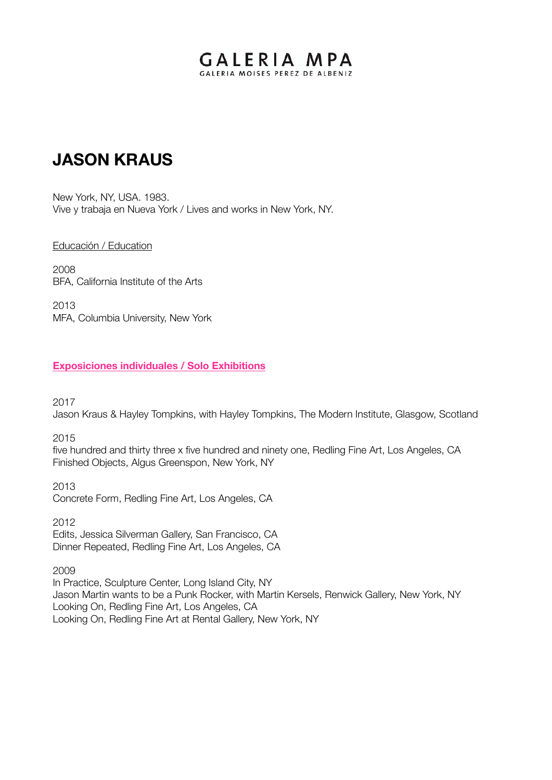# GALERIA MPA GALERIA MOISES PEREZ DE ALBENIZ

# **JASON KRAUS**

New York, NY, USA. 1983. Vive y trabaja en Nueva York / Lives and works in New York, NY.

#### Educación / Education

2008 BFA, California Institute of the Arts

2013 MFA, Columbia University, New York

#### **Exposiciones individuales / Solo Exhibitions**

2017

Jason Kraus & Hayley Tompkins, with Hayley Tompkins, The Modern Institute, Glasgow, Scotland

2015

five hundred and thirty three x five hundred and ninety one, Redling Fine Art, Los Angeles, CA Finished Objects, Algus Greenspon, New York, NY

2013 Concrete Form, Redling Fine Art, Los Angeles, CA

2012 Edits, Jessica Silverman Gallery, San Francisco, CA Dinner Repeated, Redling Fine Art, Los Angeles, CA

2009

In Practice, Sculpture Center, Long Island City, NY Jason Martin wants to be a Punk Rocker, with Martin Kersels, Renwick Gallery, New York, NY Looking On, Redling Fine Art, Los Angeles, CA Looking On, Redling Fine Art at Rental Gallery, New York, NY